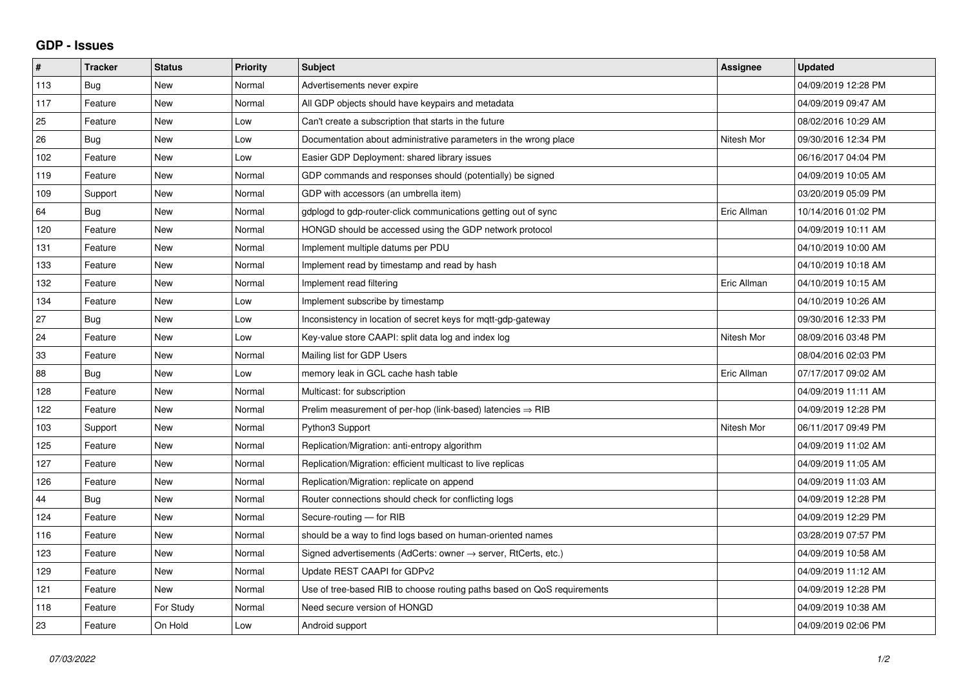## **GDP - Issues**

| #   | <b>Tracker</b> | <b>Status</b> | Priority | <b>Subject</b>                                                          | Assignee    | <b>Updated</b>      |
|-----|----------------|---------------|----------|-------------------------------------------------------------------------|-------------|---------------------|
| 113 | Bug            | <b>New</b>    | Normal   | Advertisements never expire                                             |             | 04/09/2019 12:28 PM |
| 117 | Feature        | <b>New</b>    | Normal   | All GDP objects should have keypairs and metadata                       |             | 04/09/2019 09:47 AM |
| 25  | Feature        | <b>New</b>    | Low      | Can't create a subscription that starts in the future                   |             | 08/02/2016 10:29 AM |
| 26  | Bug            | <b>New</b>    | Low      | Documentation about administrative parameters in the wrong place        | Nitesh Mor  | 09/30/2016 12:34 PM |
| 102 | Feature        | <b>New</b>    | Low      | Easier GDP Deployment: shared library issues                            |             | 06/16/2017 04:04 PM |
| 119 | Feature        | <b>New</b>    | Normal   | GDP commands and responses should (potentially) be signed               |             | 04/09/2019 10:05 AM |
| 109 | Support        | <b>New</b>    | Normal   | GDP with accessors (an umbrella item)                                   |             | 03/20/2019 05:09 PM |
| 64  | Bug            | <b>New</b>    | Normal   | gdplogd to gdp-router-click communications getting out of sync          | Eric Allman | 10/14/2016 01:02 PM |
| 120 | Feature        | <b>New</b>    | Normal   | HONGD should be accessed using the GDP network protocol                 |             | 04/09/2019 10:11 AM |
| 131 | Feature        | <b>New</b>    | Normal   | Implement multiple datums per PDU                                       |             | 04/10/2019 10:00 AM |
| 133 | Feature        | <b>New</b>    | Normal   | Implement read by timestamp and read by hash                            |             | 04/10/2019 10:18 AM |
| 132 | Feature        | <b>New</b>    | Normal   | Implement read filtering                                                | Eric Allman | 04/10/2019 10:15 AM |
| 134 | Feature        | <b>New</b>    | Low      | Implement subscribe by timestamp                                        |             | 04/10/2019 10:26 AM |
| 27  | Bug            | <b>New</b>    | Low      | Inconsistency in location of secret keys for mqtt-gdp-gateway           |             | 09/30/2016 12:33 PM |
| 24  | Feature        | <b>New</b>    | Low      | Key-value store CAAPI: split data log and index log                     | Nitesh Mor  | 08/09/2016 03:48 PM |
| 33  | Feature        | <b>New</b>    | Normal   | Mailing list for GDP Users                                              |             | 08/04/2016 02:03 PM |
| 88  | Bug            | <b>New</b>    | Low      | memory leak in GCL cache hash table                                     | Eric Allman | 07/17/2017 09:02 AM |
| 128 | Feature        | <b>New</b>    | Normal   | Multicast: for subscription                                             |             | 04/09/2019 11:11 AM |
| 122 | Feature        | <b>New</b>    | Normal   | Prelim measurement of per-hop (link-based) latencies $\Rightarrow$ RIB  |             | 04/09/2019 12:28 PM |
| 103 | Support        | <b>New</b>    | Normal   | Python3 Support                                                         | Nitesh Mor  | 06/11/2017 09:49 PM |
| 125 | Feature        | <b>New</b>    | Normal   | Replication/Migration: anti-entropy algorithm                           |             | 04/09/2019 11:02 AM |
| 127 | Feature        | <b>New</b>    | Normal   | Replication/Migration: efficient multicast to live replicas             |             | 04/09/2019 11:05 AM |
| 126 | Feature        | <b>New</b>    | Normal   | Replication/Migration: replicate on append                              |             | 04/09/2019 11:03 AM |
| 44  | Bug            | <b>New</b>    | Normal   | Router connections should check for conflicting logs                    |             | 04/09/2019 12:28 PM |
| 124 | Feature        | <b>New</b>    | Normal   | Secure-routing - for RIB                                                |             | 04/09/2019 12:29 PM |
| 116 | Feature        | <b>New</b>    | Normal   | should be a way to find logs based on human-oriented names              |             | 03/28/2019 07:57 PM |
| 123 | Feature        | <b>New</b>    | Normal   | Signed advertisements (AdCerts: owner → server, RtCerts, etc.)          |             | 04/09/2019 10:58 AM |
| 129 | Feature        | <b>New</b>    | Normal   | Update REST CAAPI for GDPv2                                             |             | 04/09/2019 11:12 AM |
| 121 | Feature        | <b>New</b>    | Normal   | Use of tree-based RIB to choose routing paths based on QoS requirements |             | 04/09/2019 12:28 PM |
| 118 | Feature        | For Study     | Normal   | Need secure version of HONGD                                            |             | 04/09/2019 10:38 AM |
| 23  | Feature        | On Hold       | Low      | Android support                                                         |             | 04/09/2019 02:06 PM |